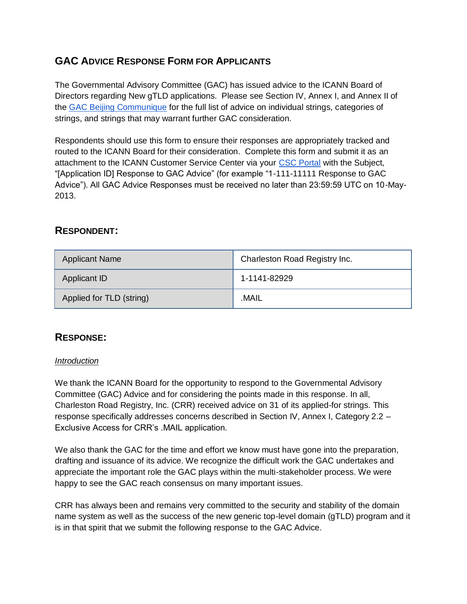# **GAC ADVICE RESPONSE FORM FOR APPLICANTS**

The Governmental Advisory Committee (GAC) has issued advice to the ICANN Board of Directors regarding New gTLD applications. Please see Section IV, Annex I, and Annex II of th[e](http://www.icann.org/en/news/correspondence/gac-to-board-18apr13-en.pdf) [GAC Beijing Communique](http://www.icann.org/en/news/correspondence/gac-to-board-18apr13-en.pdf) for the full list of advice on individual strings, categories of strings, and strings that may warrant further GAC consideration.

Respondents should use this form to ensure their responses are appropriately tracked and routed to the ICANN Board for their consideration. Complete this form and submit it as an attachment to the ICANN Customer Service Center via your [CSC Portal](https://myicann.secure.force.com/) with the Subject, "[Application ID] Response to GAC Advice" (for example "1-111-11111 Response to GAC Advice"). All GAC Advice Responses must be received no later than 23:59:59 UTC on 10-May-2013.

## **RESPONDENT:**

| <b>Applicant Name</b>    | Charleston Road Registry Inc. |
|--------------------------|-------------------------------|
| Applicant ID             | 1-1141-82929                  |
| Applied for TLD (string) | .MAIL                         |

# **RESPONSE:**

### *Introduction*

We thank the ICANN Board for the opportunity to respond to the Governmental Advisory Committee (GAC) Advice and for considering the points made in this response. In all, Charleston Road Registry, Inc. (CRR) received advice on 31 of its applied-for strings. This response specifically addresses concerns described in Section IV, Annex I, Category 2.2 – Exclusive Access for CRR's .MAIL application.

We also thank the GAC for the time and effort we know must have gone into the preparation, drafting and issuance of its advice. We recognize the difficult work the GAC undertakes and appreciate the important role the GAC plays within the multi-stakeholder process. We were happy to see the GAC reach consensus on many important issues.

CRR has always been and remains very committed to the security and stability of the domain name system as well as the success of the new generic top-level domain (gTLD) program and it is in that spirit that we submit the following response to the GAC Advice.